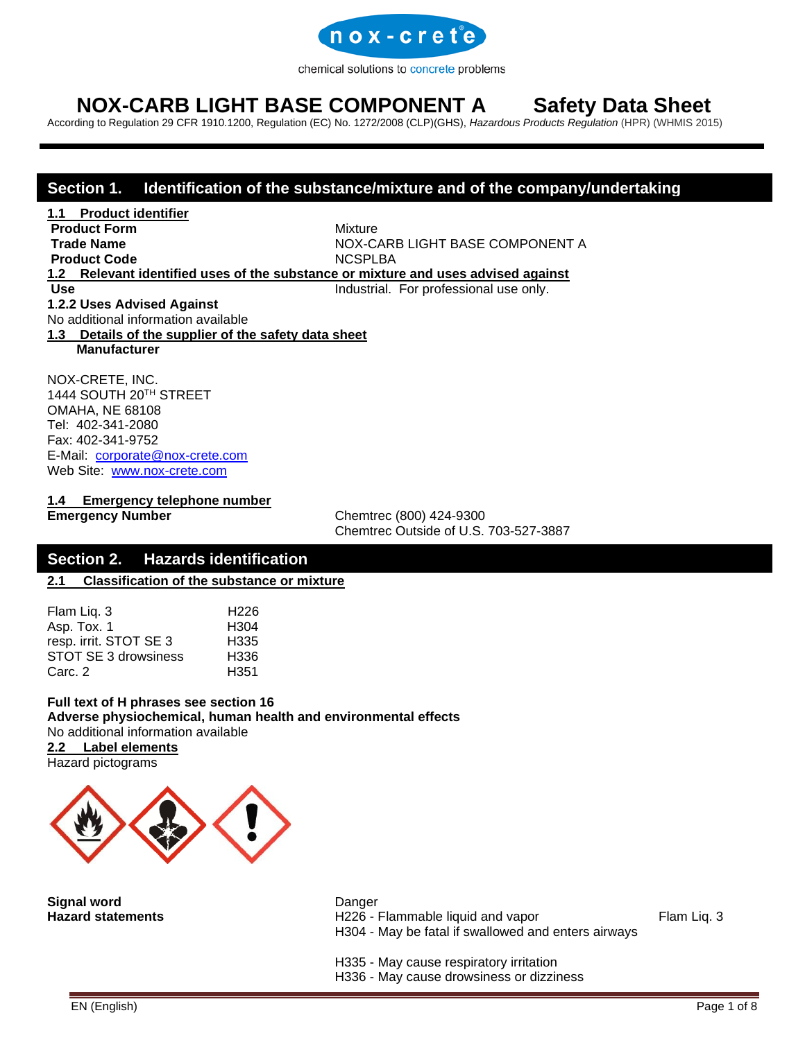

# **NOX-CARB LIGHT BASE COMPONENT A Safety Data Sheet**

According to Regulation 29 CFR 1910.1200, Regulation (EC) No. 1272/2008 (CLP)(GHS), *[Hazardous Products Regulation](http://laws-lois.justice.gc.ca/eng/regulations/SOR-2015-17/index.html)* (HPR) (WHMIS 2015)

### **Section 1. Identification of the substance/mixture and of the company/undertaking**

**1.1 Product identifier Product Form** Mixture **Product Code** NCSPLBA

**Trade Name** NOX-CARB LIGHT BASE COMPONENT A

# **1.2 Relevant identified uses of the substance or mixture and uses advised against**

**Use** Industrial. For professional use only.

**1**.**2.2 Uses Advised Against**

No additional information available

**1.3 Details of the supplier of the safety data sheet**

 **Manufacturer**

NOX-CRETE, INC. 1444 SOUTH 20TH STREET OMAHA, NE 68108 Tel: 402-341-2080 Fax: 402-341-9752 E-Mail: [corporate@nox-crete.com](mailto:corperate@nox-crete.com) Web Site: [www.nox-crete.com](http://www.nox-crete.com/)

**1.4 Emergency telephone number**

**Emergency Number** Chemtrec (800) 424-9300 Chemtrec Outside of U.S. 703-527-3887

### **Section 2. Hazards identification**

**2.1 Classification of the substance or mixture**

| H <sub>226</sub> |
|------------------|
| H <sub>304</sub> |
| H <sub>335</sub> |
| H <sub>336</sub> |
| H <sub>351</sub> |
|                  |

**Full text of H phrases see section 16 Adverse physiochemical, human health and environmental effects** No additional information available **2.2 Label elements** Hazard pictograms



**Signal word** Danger

Hazard statements **H226** - Flammable liquid and vapor Flam Liq. 3 H304 - May be fatal if swallowed and enters airways

H335 - May cause respiratory irritation

H336 - May cause drowsiness or dizziness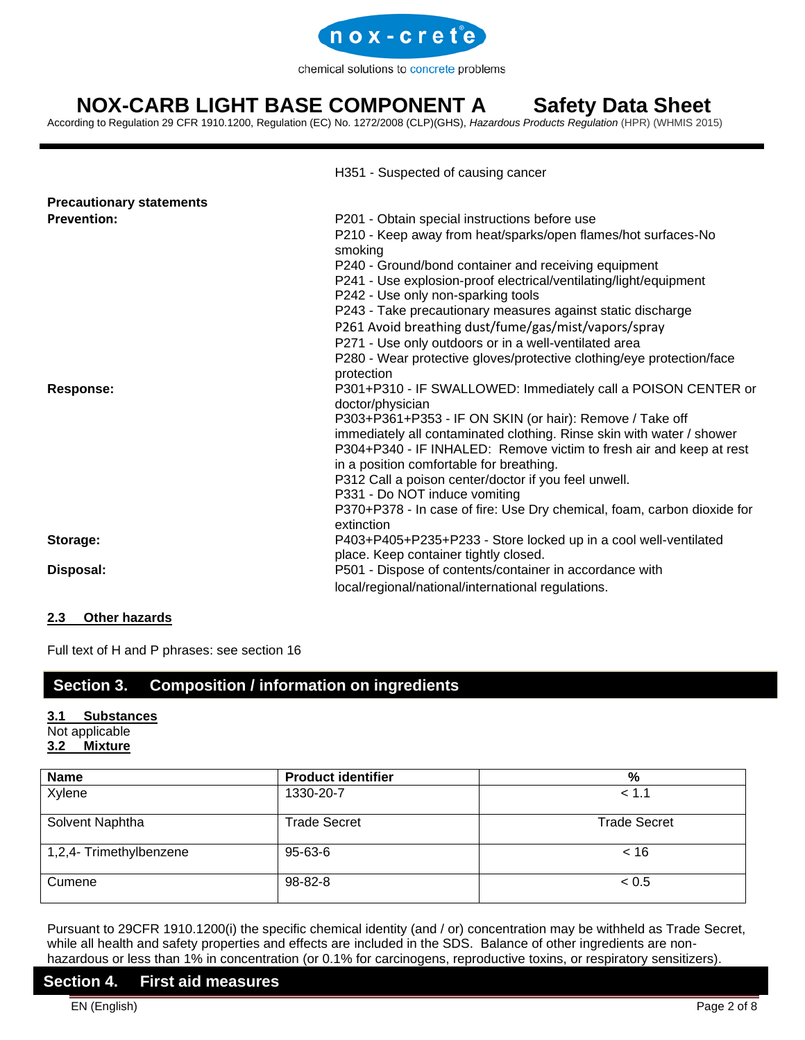

# **NOX-CARB LIGHT BASE COMPONENT A Safety Data Sheet**

According to Regulation 29 CFR 1910.1200, Regulation (EC) No. 1272/2008 (CLP)(GHS), *[Hazardous Products Regulation](http://laws-lois.justice.gc.ca/eng/regulations/SOR-2015-17/index.html)* (HPR) (WHMIS 2015)

|                                 | H351 - Suspected of causing cancer                                                                              |
|---------------------------------|-----------------------------------------------------------------------------------------------------------------|
| <b>Precautionary statements</b> |                                                                                                                 |
| <b>Prevention:</b>              | P201 - Obtain special instructions before use                                                                   |
|                                 | P210 - Keep away from heat/sparks/open flames/hot surfaces-No<br>smoking                                        |
|                                 | P240 - Ground/bond container and receiving equipment                                                            |
|                                 | P241 - Use explosion-proof electrical/ventilating/light/equipment<br>P242 - Use only non-sparking tools         |
|                                 | P243 - Take precautionary measures against static discharge                                                     |
|                                 | P261 Avoid breathing dust/fume/gas/mist/vapors/spray                                                            |
|                                 | P271 - Use only outdoors or in a well-ventilated area                                                           |
|                                 | P280 - Wear protective gloves/protective clothing/eye protection/face<br>protection                             |
| Response:                       | P301+P310 - IF SWALLOWED: Immediately call a POISON CENTER or<br>doctor/physician                               |
|                                 | P303+P361+P353 - IF ON SKIN (or hair): Remove / Take off                                                        |
|                                 | immediately all contaminated clothing. Rinse skin with water / shower                                           |
|                                 | P304+P340 - IF INHALED: Remove victim to fresh air and keep at rest<br>in a position comfortable for breathing. |
|                                 | P312 Call a poison center/doctor if you feel unwell.                                                            |
|                                 | P331 - Do NOT induce vomiting                                                                                   |
|                                 | P370+P378 - In case of fire: Use Dry chemical, foam, carbon dioxide for                                         |
|                                 | extinction                                                                                                      |
| Storage:                        | P403+P405+P235+P233 - Store locked up in a cool well-ventilated                                                 |
|                                 | place. Keep container tightly closed.                                                                           |
| Disposal:                       | P501 - Dispose of contents/container in accordance with                                                         |
|                                 | local/regional/national/international regulations.                                                              |

### **2.3 Other hazards**

Full text of H and P phrases: see section 16

### **Section 3. Composition / information on ingredients**

### **3.1 Substances**

### Not applicable

### **3.2 Mixture**

| <b>Name</b>             | <b>Product identifier</b> | %                   |
|-------------------------|---------------------------|---------------------|
| Xylene                  | 1330-20-7                 | < 1.1               |
| Solvent Naphtha         | <b>Trade Secret</b>       | <b>Trade Secret</b> |
| 1,2,4- Trimethylbenzene | 95-63-6                   | ~< 16               |
| Cumene                  | 98-82-8                   | < 0.5               |

Pursuant to 29CFR 1910.1200(i) the specific chemical identity (and / or) concentration may be withheld as Trade Secret, while all health and safety properties and effects are included in the SDS. Balance of other ingredients are nonhazardous or less than 1% in concentration (or 0.1% for carcinogens, reproductive toxins, or respiratory sensitizers).

### **Section 4. First aid measures**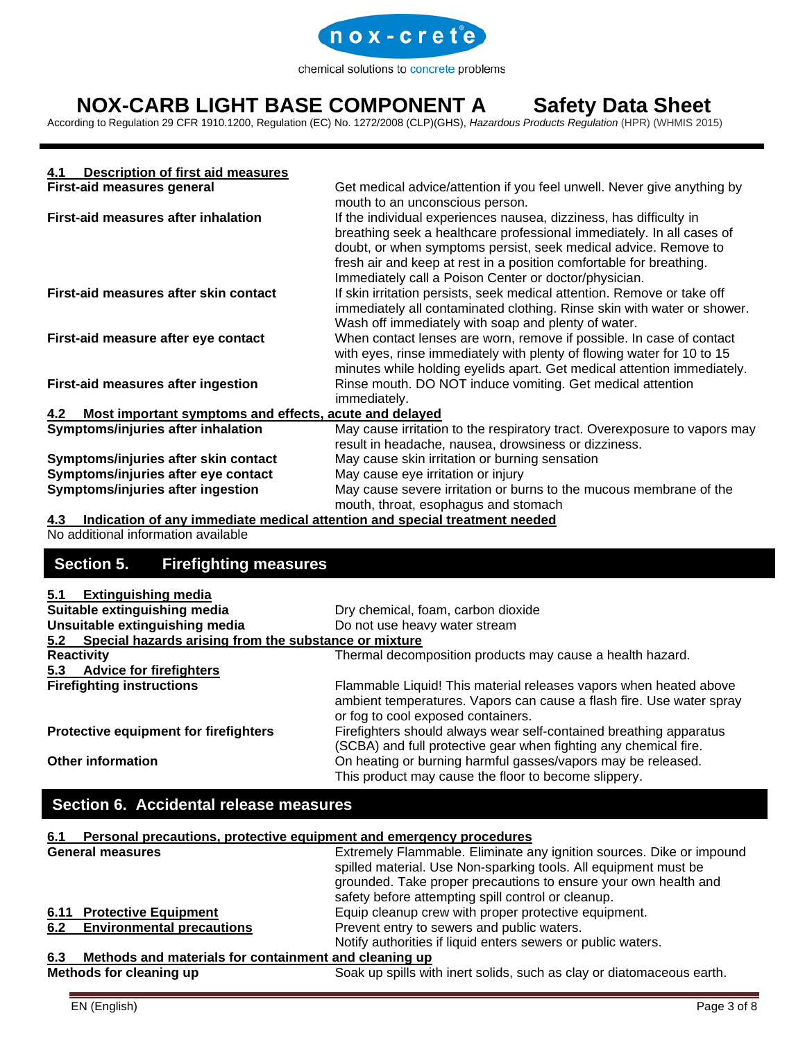

# **NOX-CARB LIGHT BASE COMPONENT A Safety Data Sheet**

According to Regulation 29 CFR 1910.1200, Regulation (EC) No. 1272/2008 (CLP)(GHS), *[Hazardous Products Regulation](http://laws-lois.justice.gc.ca/eng/regulations/SOR-2015-17/index.html)* (HPR) (WHMIS 2015)

| Description of first aid measures<br>4.1                      |                                                                                                                                                                                                                                                                                                                                                |
|---------------------------------------------------------------|------------------------------------------------------------------------------------------------------------------------------------------------------------------------------------------------------------------------------------------------------------------------------------------------------------------------------------------------|
| First-aid measures general                                    | Get medical advice/attention if you feel unwell. Never give anything by<br>mouth to an unconscious person.                                                                                                                                                                                                                                     |
| First-aid measures after inhalation                           | If the individual experiences nausea, dizziness, has difficulty in<br>breathing seek a healthcare professional immediately. In all cases of<br>doubt, or when symptoms persist, seek medical advice. Remove to<br>fresh air and keep at rest in a position comfortable for breathing.<br>Immediately call a Poison Center or doctor/physician. |
| First-aid measures after skin contact                         | If skin irritation persists, seek medical attention. Remove or take off<br>immediately all contaminated clothing. Rinse skin with water or shower.<br>Wash off immediately with soap and plenty of water.                                                                                                                                      |
| First-aid measure after eye contact                           | When contact lenses are worn, remove if possible. In case of contact<br>with eyes, rinse immediately with plenty of flowing water for 10 to 15<br>minutes while holding eyelids apart. Get medical attention immediately.                                                                                                                      |
| First-aid measures after ingestion                            | Rinse mouth. DO NOT induce vomiting. Get medical attention<br>immediately.                                                                                                                                                                                                                                                                     |
| Most important symptoms and effects, acute and delayed<br>4.2 |                                                                                                                                                                                                                                                                                                                                                |
| Symptoms/injuries after inhalation                            | May cause irritation to the respiratory tract. Overexposure to vapors may<br>result in headache, nausea, drowsiness or dizziness.                                                                                                                                                                                                              |
| Symptoms/injuries after skin contact                          | May cause skin irritation or burning sensation                                                                                                                                                                                                                                                                                                 |
| Symptoms/injuries after eye contact                           | May cause eye irritation or injury                                                                                                                                                                                                                                                                                                             |
| Symptoms/injuries after ingestion                             | May cause severe irritation or burns to the mucous membrane of the<br>mouth, throat, esophagus and stomach                                                                                                                                                                                                                                     |

**4.3 Indication of any immediate medical attention and special treatment needed**

No additional information available

## **Section 5. Firefighting measures**

| 5.1                                                                | <b>Extinguishing media</b>                            |                                                                                                                                                                                 |  |
|--------------------------------------------------------------------|-------------------------------------------------------|---------------------------------------------------------------------------------------------------------------------------------------------------------------------------------|--|
| Suitable extinguishing media<br>Dry chemical, foam, carbon dioxide |                                                       |                                                                                                                                                                                 |  |
|                                                                    | Unsuitable extinguishing media                        | Do not use heavy water stream                                                                                                                                                   |  |
| 5.2                                                                | Special hazards arising from the substance or mixture |                                                                                                                                                                                 |  |
|                                                                    | <b>Reactivity</b>                                     | Thermal decomposition products may cause a health hazard.                                                                                                                       |  |
| 5.3                                                                | <b>Advice for firefighters</b>                        |                                                                                                                                                                                 |  |
|                                                                    | <b>Firefighting instructions</b>                      | Flammable Liquid! This material releases vapors when heated above<br>ambient temperatures. Vapors can cause a flash fire. Use water spray<br>or fog to cool exposed containers. |  |
| Protective equipment for firefighters                              |                                                       | Firefighters should always wear self-contained breathing apparatus<br>(SCBA) and full protective gear when fighting any chemical fire.                                          |  |
|                                                                    | <b>Other information</b>                              | On heating or burning harmful gasses/vapors may be released.<br>This product may cause the floor to become slippery.                                                            |  |

## **Section 6. Accidental release measures**

### **6.1 Personal precautions, protective equipment and emergency procedures**

| <b>General measures</b> |                                                                                          | Extremely Flammable. Eliminate any ignition sources. Dike or impound<br>spilled material. Use Non-sparking tools. All equipment must be<br>grounded. Take proper precautions to ensure your own health and |  |
|-------------------------|------------------------------------------------------------------------------------------|------------------------------------------------------------------------------------------------------------------------------------------------------------------------------------------------------------|--|
|                         |                                                                                          | safety before attempting spill control or cleanup.                                                                                                                                                         |  |
|                         | <b>6.11 Protective Equipment</b><br>Equip cleanup crew with proper protective equipment. |                                                                                                                                                                                                            |  |
|                         | 6.2 Environmental precautions                                                            | Prevent entry to sewers and public waters.                                                                                                                                                                 |  |
|                         |                                                                                          | Notify authorities if liquid enters sewers or public waters.                                                                                                                                               |  |
| 6.3                     | Methods and materials for containment and cleaning up                                    |                                                                                                                                                                                                            |  |
|                         | Methods for cleaning up                                                                  | Soak up spills with inert solids, such as clay or diatomaceous earth.                                                                                                                                      |  |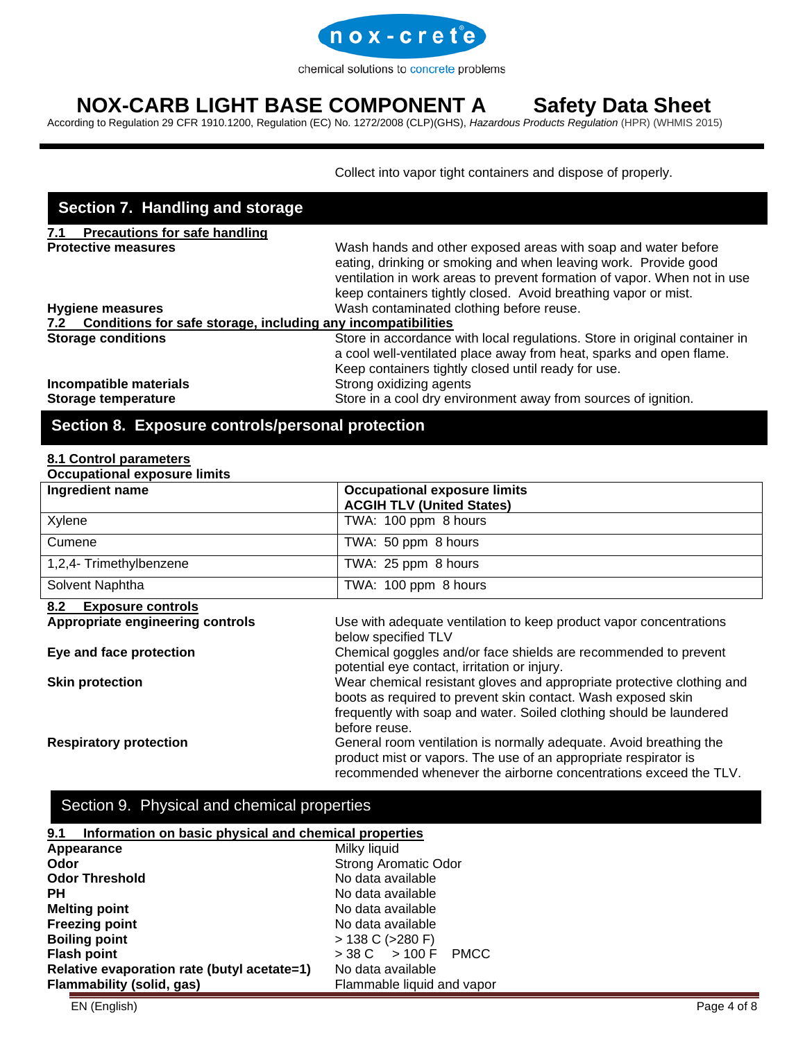

# **NOX-CARB LIGHT BASE COMPONENT A Safety Data Sheet**

According to Regulation 29 CFR 1910.1200, Regulation (EC) No. 1272/2008 (CLP)(GHS), *[Hazardous Products Regulation](http://laws-lois.justice.gc.ca/eng/regulations/SOR-2015-17/index.html)* (HPR) (WHMIS 2015)

Collect into vapor tight containers and dispose of properly.

| Section 7. Handling and storage                                  |                                                                                                                                                                                                                                                                                |
|------------------------------------------------------------------|--------------------------------------------------------------------------------------------------------------------------------------------------------------------------------------------------------------------------------------------------------------------------------|
| <b>Precautions for safe handling</b><br>7.1                      |                                                                                                                                                                                                                                                                                |
| <b>Protective measures</b>                                       | Wash hands and other exposed areas with soap and water before<br>eating, drinking or smoking and when leaving work. Provide good<br>ventilation in work areas to prevent formation of vapor. When not in use<br>keep containers tightly closed. Avoid breathing vapor or mist. |
| <b>Hygiene measures</b>                                          | Wash contaminated clothing before reuse.                                                                                                                                                                                                                                       |
| 7.2 Conditions for safe storage, including any incompatibilities |                                                                                                                                                                                                                                                                                |
| <b>Storage conditions</b>                                        | Store in accordance with local regulations. Store in original container in<br>a cool well-ventilated place away from heat, sparks and open flame.<br>Keep containers tightly closed until ready for use.                                                                       |
| Incompatible materials<br>Storage temperature                    | Strong oxidizing agents<br>Store in a cool dry environment away from sources of ignition.                                                                                                                                                                                      |

## **Section 8. Exposure controls/personal protection**

#### **8.1 Control parameters Occupational exposure limits**

| Occupational exposure illints<br>Ingredient name | <b>Occupational exposure limits</b>                                                                             |  |
|--------------------------------------------------|-----------------------------------------------------------------------------------------------------------------|--|
|                                                  | <b>ACGIH TLV (United States)</b>                                                                                |  |
| Xylene                                           | TWA: 100 ppm 8 hours                                                                                            |  |
| Cumene                                           | TWA: 50 ppm 8 hours                                                                                             |  |
| 1,2,4- Trimethylbenzene                          | TWA: 25 ppm 8 hours                                                                                             |  |
| Solvent Naphtha                                  | TWA: 100 ppm 8 hours                                                                                            |  |
| 8.2<br><b>Exposure controls</b>                  |                                                                                                                 |  |
| Appropriate engineering controls                 | Use with adequate ventilation to keep product vapor concentrations                                              |  |
|                                                  | below specified TLV                                                                                             |  |
| Eye and face protection                          | Chemical goggles and/or face shields are recommended to prevent<br>potential eye contact, irritation or injury. |  |
| <b>Skin protection</b>                           | Wear chemical resistant gloves and appropriate protective clothing and                                          |  |
|                                                  | boots as required to prevent skin contact. Wash exposed skin                                                    |  |
|                                                  | frequently with soap and water. Soiled clothing should be laundered                                             |  |
|                                                  | before reuse.                                                                                                   |  |
| <b>Respiratory protection</b>                    | General room ventilation is normally adequate. Avoid breathing the                                              |  |
|                                                  | product mist or vapors. The use of an appropriate respirator is                                                 |  |
|                                                  | recommended whenever the airborne concentrations exceed the TLV.                                                |  |

## Section 9. Physical and chemical properties

| 9.1<br>Information on basic physical and chemical properties   |                             |  |
|----------------------------------------------------------------|-----------------------------|--|
| Milky liquid<br>Appearance                                     |                             |  |
| Odor                                                           | <b>Strong Aromatic Odor</b> |  |
| <b>Odor Threshold</b>                                          | No data available           |  |
| PН                                                             | No data available           |  |
| <b>Melting point</b>                                           | No data available           |  |
| <b>Freezing point</b>                                          | No data available           |  |
| <b>Boiling point</b>                                           | $> 138$ C ( $>280$ F)       |  |
| <b>Flash point</b>                                             | > 38 C > 100 F PMCC         |  |
| Relative evaporation rate (butyl acetate=1)                    | No data available           |  |
| <b>Flammability (solid, gas)</b><br>Flammable liquid and vapor |                             |  |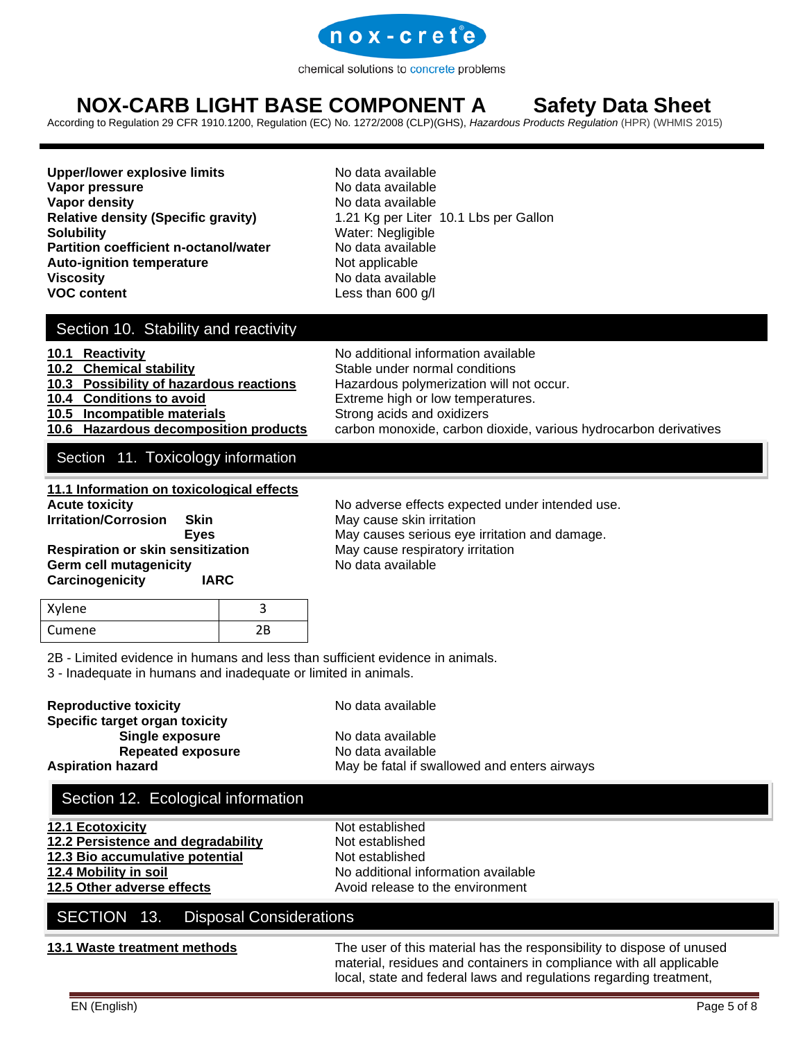

# **NOX-CARB LIGHT BASE COMPONENT A Safety Data Sheet**

According to Regulation 29 CFR 1910.1200, Regulation (EC) No. 1272/2008 (CLP)(GHS), *[Hazardous Products Regulation](http://laws-lois.justice.gc.ca/eng/regulations/SOR-2015-17/index.html)* (HPR) (WHMIS 2015)

**Upper/lower explosive limits** No data available **Vapor pressure** No data available **Vapor density**<br> **Relative density (Specific gravity)** No data available<br>
1.21 Kg per Liter **Solubility** Water: Negligible **Partition coefficient n-octanol/water** No data available **Auto-ignition temperature** Not applicable **Viscosity No data available No data available VOC content Less than 600 g/l** 

**Relative density (Specific gravity)** 1.21 Kg per Liter 10.1 Lbs per Gallon

### Section 10. Stability and reactivity

### **10.1 Reactivity 10.1 Reactivity 10.1 Reactivity 10.1 Reactivity 10.1 No** additional information available

10.2 Chemical stability **Stable under normal conditions 10.3 Possibility of hazardous reactions** Hazardous polymerization will not occur.

- 
- **10.4 Conditions to avoid** Extreme high or low temperatures.
- **10.5 Incompatible materials** Strong acids and oxidizers
- **10.6 Hazardous decomposition products** carbon monoxide, carbon dioxide, various hydrocarbon derivatives

### Section 11. Toxicology information

**11.1 Information on toxicological effects Irritation/Corrosion Skin** May cause skin irritation **Respiration or skin sensitization May cause respiratory irritation Germ cell mutagenicity No data available Carcinogenicity IARC**

No adverse effects expected under intended use. **Eyes** May causes serious eye irritation and damage.

## Xylene 3 Cumene 2B

2B - Limited evidence in humans and less than sufficient evidence in animals.

3 - Inadequate in humans and inadequate or limited in animals.

### **Reproductive toxicity** No data available

### **Specific target organ toxicity Single exposure** No data available **Repeated exposure** No data available

**Aspiration hazard** May be fatal if swallowed and enters airways

## Section 12. Ecological information

| 12.1 Ecotoxicity                   | Not established                     |
|------------------------------------|-------------------------------------|
| 12.2 Persistence and degradability | Not established                     |
| 12.3 Bio accumulative potential    | Not established                     |
| 12.4 Mobility in soil              | No additional information available |
| 12.5 Other adverse effects         | Avoid release to the environment    |

## SECTION 13. Disposal Considerations

**13.1 Waste treatment methods** The user of this material has the responsibility to dispose of unused material, residues and containers in compliance with all applicable local, state and federal laws and regulations regarding treatment,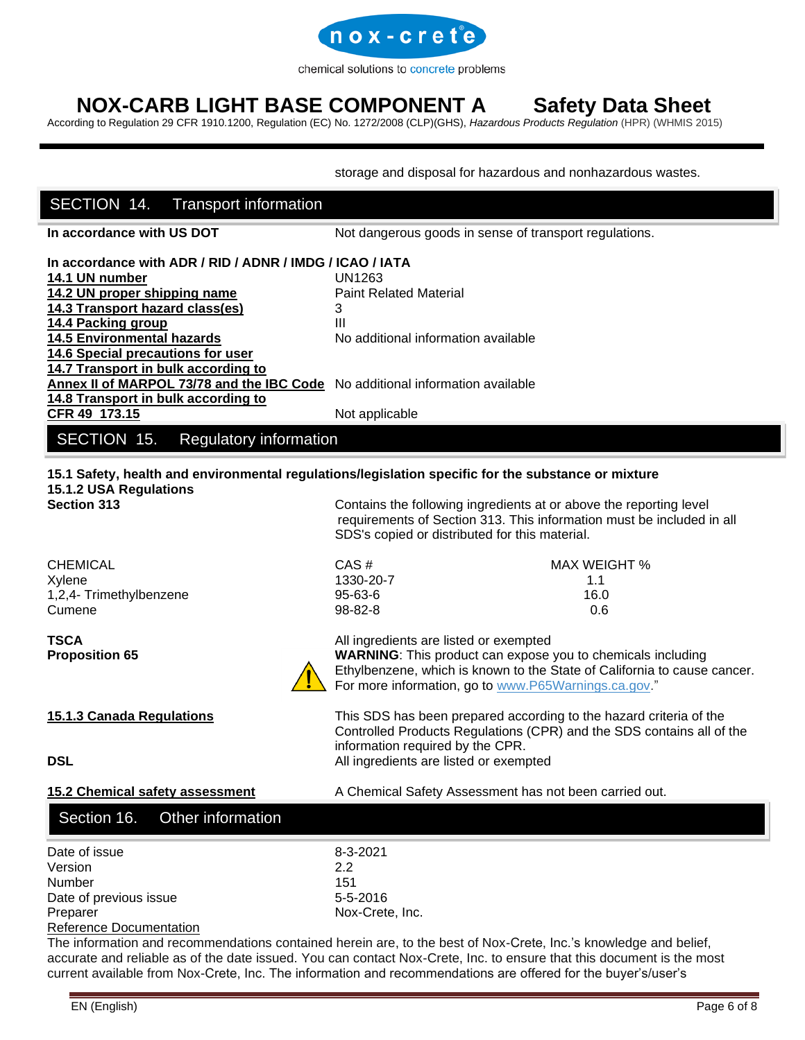

# **NOX-CARB LIGHT BASE COMPONENT A Safety Data Sheet**

According to Regulation 29 CFR 1910.1200, Regulation (EC) No. 1272/2008 (CLP)(GHS), *[Hazardous Products Regulation](http://laws-lois.justice.gc.ca/eng/regulations/SOR-2015-17/index.html)* (HPR) (WHMIS 2015)

storage and disposal for hazardous and nonhazardous wastes.

## **In accordance with US DOT** Not dangerous goods in sense of transport regulations. **In accordance with ADR / RID / ADNR / IMDG / ICAO / IATA 14.1 UN number** UN1263 **14.2 UN proper shipping name** Paint Related Material **14.3 Transport hazard class(es)** 3 **14.4 Packing group III 14.5 Environmental hazards** No additional information available **14.6 Special precautions for user 14.7 Transport in bulk according to Annex II of MARPOL 73/78 and the IBC Code** No additional information available **14.8 Transport in bulk according to CFR 49 173.15** Not applicable **15.1 Safety, health and environmental regulations/legislation specific for the substance or mixture 15.1.2 USA Regulations Section 313** Contains the following ingredients at or above the reporting level requirements of Section 313. This information must be included in all SDS's copied or distributed for this material. CHEMICAL CHEMICAL CAS # CAS # MAX WEIGHT % Xylene 1330-20-7 1.1 1,2,4- Trimethylbenzene 95-63-6 16.0 Cumene 98-82-8 0.6 **TSCA** All ingredients are listed or exempted **Proposition 65 <b>WARNING**: This product can expose you to chemicals including Ethylbenzene, which is known to the State of California to cause cancer. For more information, go to [www.P65Warnings.ca.gov.](https://www.p65warnings.ca.gov/)" **15.1.3 Canada Regulations** This SDS has been prepared according to the hazard criteria of the Controlled Products Regulations (CPR) and the SDS contains all of the information required by the CPR. **DSL DSL All ingredients are listed or exempted 15.2 Chemical safety assessment** A Chemical Safety Assessment has not been carried out. Date of issue 8-3-2021 Version 2.2 Number 151 Date of previous issue 5-5-2016 Preparer Nox-Crete, Inc. SECTION 14. Transport information SECTION 15. Regulatory information Section 16. Other information

#### Reference Documentation

The information and recommendations contained herein are, to the best of Nox-Crete, Inc.'s knowledge and belief, accurate and reliable as of the date issued. You can contact Nox-Crete, Inc. to ensure that this document is the most current available from Nox-Crete, Inc. The information and recommendations are offered for the buyer's/user's